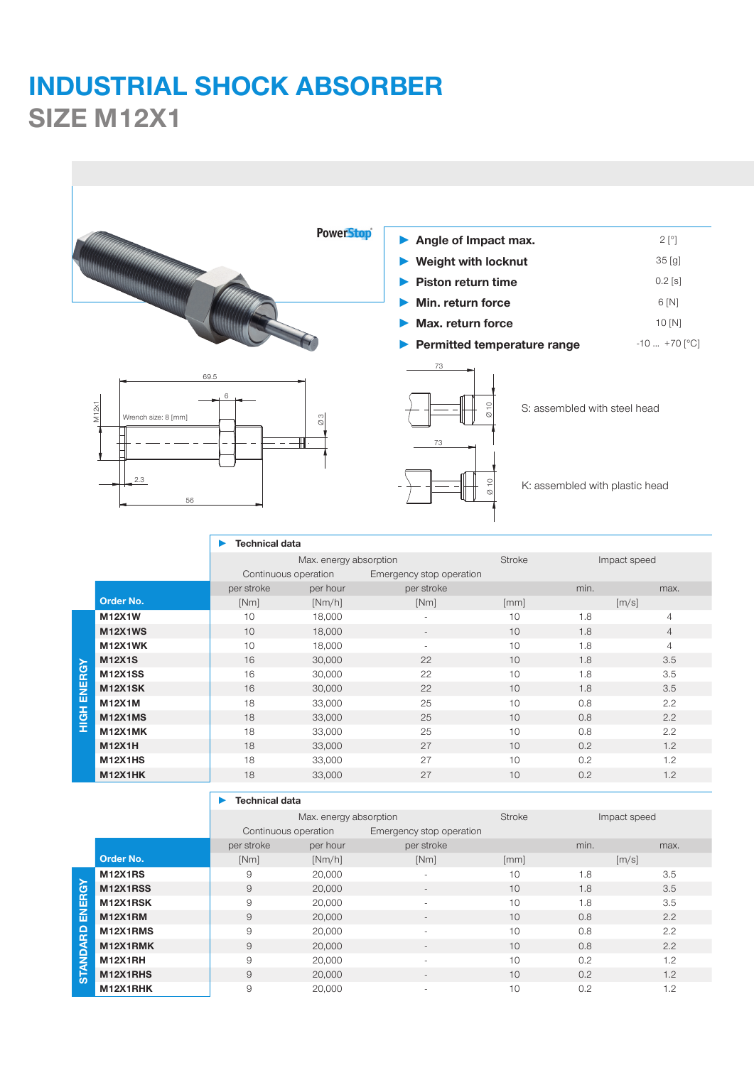## **INDUSTRIAL SHOCK ABSORBER SIZE M12X1**



|                       |                | <b>Technical data</b>  |                                                  |                          |               |              |                            |
|-----------------------|----------------|------------------------|--------------------------------------------------|--------------------------|---------------|--------------|----------------------------|
|                       |                | Max. energy absorption |                                                  |                          | <b>Stroke</b> | Impact speed |                            |
|                       |                |                        | Continuous operation<br>Emergency stop operation |                          |               |              |                            |
|                       |                | per stroke             | per hour                                         | per stroke               |               | min.         | max.                       |
|                       | Order No.      | [Nm]                   | [Nm/h]                                           | [Nm]                     | [mm]          |              | $\left[\frac{m}{s}\right]$ |
| ENERGY<br><b>HIGH</b> | <b>M12X1W</b>  | 10                     | 18,000                                           | $\overline{\phantom{a}}$ | 10            | 1.8          | $\overline{4}$             |
|                       | <b>M12X1WS</b> | 10                     | 18,000                                           | $\overline{\phantom{a}}$ | 10            | 1.8          | $\overline{4}$             |
|                       | M12X1WK        | 10                     | 18,000                                           | $\equiv$                 | 10            | 1.8          | $\overline{4}$             |
|                       | <b>M12X1S</b>  | 16                     | 30,000                                           | 22                       | 10            | 1.8          | 3.5                        |
|                       | <b>M12X1SS</b> | 16                     | 30,000                                           | 22                       | 10            | 1.8          | 3.5                        |
|                       | <b>M12X1SK</b> | 16                     | 30,000                                           | 22                       | 10            | 1.8          | 3.5                        |
|                       | <b>M12X1M</b>  | 18                     | 33,000                                           | 25                       | 10            | 0.8          | 2.2                        |
|                       | M12X1MS        | 18                     | 33,000                                           | 25                       | 10            | 0.8          | 2.2                        |
|                       | M12X1MK        | 18                     | 33,000                                           | 25                       | 10            | 0.8          | 2.2                        |
|                       | <b>M12X1H</b>  | 18                     | 33,000                                           | 27                       | 10            | 0.2          | 1.2                        |
|                       | <b>M12X1HS</b> | 18                     | 33,000                                           | 27                       | 10            | 0.2          | 1.2                        |
|                       | <b>M12X1HK</b> | 18                     | 33,000                                           | 27                       | 10            | 0.2          | 1.2                        |

|                 |                | Max. energy absorption |                                                  | <b>Stroke</b>            | Impact speed |      |                     |
|-----------------|----------------|------------------------|--------------------------------------------------|--------------------------|--------------|------|---------------------|
|                 |                |                        | Emergency stop operation<br>Continuous operation |                          |              |      |                     |
|                 |                | per stroke             | per hour                                         | per stroke               |              | min. | max.                |
|                 | Order No.      | [Nm]                   | [Nm/h]                                           | [Nm]                     | [mm]         |      | $\lceil m/s \rceil$ |
|                 | <b>M12X1RS</b> | 9                      | 20,000                                           | $\overline{\phantom{a}}$ | 10           | 1.8  | 3.5                 |
|                 | M12X1RSS       | $\overline{9}$         | 20,000                                           | $\overline{\phantom{0}}$ | 10           | 1.8  | 3.5                 |
| ENERGY          | M12X1RSK       | 9                      | 20,000                                           | $\overline{\phantom{a}}$ | 10           | 1.8  | 3.5                 |
|                 | M12X1RM        | 9                      | 20,000                                           | $\overline{\phantom{a}}$ | 10           | 0.8  | 2.2                 |
| <b>STANDARD</b> | M12X1RMS       | 9                      | 20,000                                           |                          | 10           | 0.8  | 2.2                 |
|                 | M12X1RMK       | $\overline{9}$         | 20,000                                           |                          | 10           | 0.8  | 2.2                 |
|                 | M12X1RH        | 9                      | 20,000                                           | $\overline{\phantom{a}}$ | 10           | 0.2  | 1.2                 |
|                 | M12X1RHS       | $\overline{9}$         | 20,000                                           | $\overline{\phantom{a}}$ | 10           | 0.2  | 1.2                 |
|                 | M12X1RHK       | 9                      | 20,000                                           | $\overline{\phantom{0}}$ | 10           | 0.2  | 1.2                 |